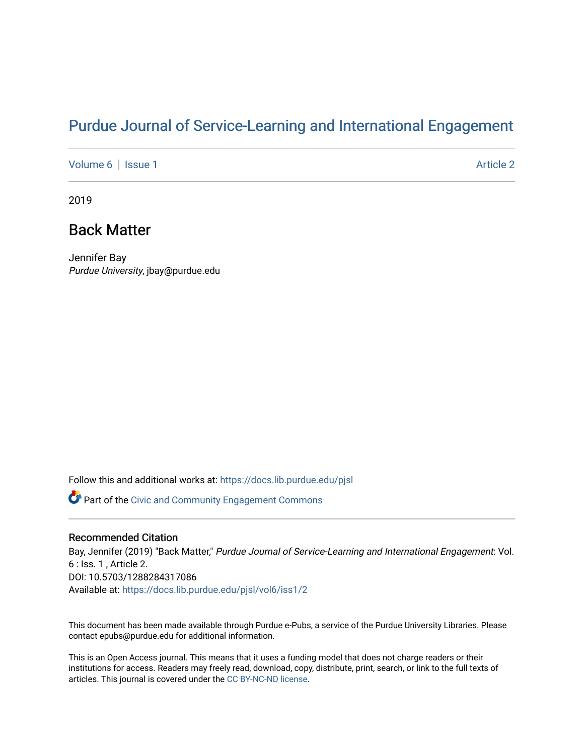## [Purdue Journal of Service-Learning and International Engagement](https://docs.lib.purdue.edu/pjsl)

[Volume 6](https://docs.lib.purdue.edu/pjsl/vol6) | [Issue 1](https://docs.lib.purdue.edu/pjsl/vol6/iss1) Article 2

2019

### Back Matter

Jennifer Bay Purdue University, jbay@purdue.edu

Follow this and additional works at: [https://docs.lib.purdue.edu/pjsl](https://docs.lib.purdue.edu/pjsl?utm_source=docs.lib.purdue.edu%2Fpjsl%2Fvol6%2Fiss1%2F2&utm_medium=PDF&utm_campaign=PDFCoverPages)

Part of the [Civic and Community Engagement Commons](http://network.bepress.com/hgg/discipline/1028?utm_source=docs.lib.purdue.edu%2Fpjsl%2Fvol6%2Fiss1%2F2&utm_medium=PDF&utm_campaign=PDFCoverPages)

### Recommended Citation

Bay, Jennifer (2019) "Back Matter," Purdue Journal of Service-Learning and International Engagement: Vol. 6 : Iss. 1 , Article 2. DOI: 10.5703/1288284317086 Available at: [https://docs.lib.purdue.edu/pjsl/vol6/iss1/2](https://docs.lib.purdue.edu/pjsl/vol6/iss1/2?utm_source=docs.lib.purdue.edu%2Fpjsl%2Fvol6%2Fiss1%2F2&utm_medium=PDF&utm_campaign=PDFCoverPages) 

This document has been made available through Purdue e-Pubs, a service of the Purdue University Libraries. Please contact epubs@purdue.edu for additional information.

This is an Open Access journal. This means that it uses a funding model that does not charge readers or their institutions for access. Readers may freely read, download, copy, distribute, print, search, or link to the full texts of articles. This journal is covered under the [CC BY-NC-ND license](https://creativecommons.org/licenses/by-nc-nd/4.0/).